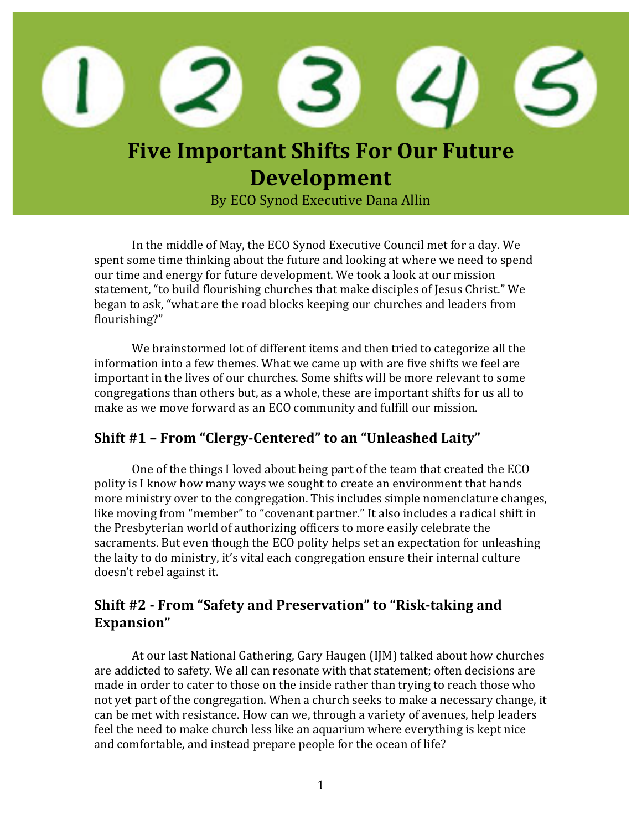

# **Five Important Shifts For Our Future Development**

By ECO Synod Executive Dana Allin

In the middle of May, the ECO Synod Executive Council met for a day. We spent some time thinking about the future and looking at where we need to spend our time and energy for future development. We took a look at our mission statement, "to build flourishing churches that make disciples of Jesus Christ." We began to ask, "what are the road blocks keeping our churches and leaders from flourishing?"

We brainstormed lot of different items and then tried to categorize all the information into a few themes. What we came up with are five shifts we feel are important in the lives of our churches. Some shifts will be more relevant to some congregations than others but, as a whole, these are important shifts for us all to make as we move forward as an ECO community and fulfill our mission.

## **Shift** #1 - From "Clergy-Centered" to an "Unleashed Laity"

One of the things I loved about being part of the team that created the ECO polity is I know how many ways we sought to create an environment that hands more ministry over to the congregation. This includes simple nomenclature changes, like moving from "member" to "covenant partner." It also includes a radical shift in the Presbyterian world of authorizing officers to more easily celebrate the sacraments. But even though the ECO polity helps set an expectation for unleashing the laity to do ministry, it's vital each congregation ensure their internal culture doesn't rebel against it.

### **Shift #2 - From "Safety and Preservation" to "Risk-taking and Expansion"**

At our last National Gathering, Gary Haugen (IJM) talked about how churches are addicted to safety. We all can resonate with that statement; often decisions are made in order to cater to those on the inside rather than trying to reach those who not yet part of the congregation. When a church seeks to make a necessary change, it can be met with resistance. How can we, through a variety of avenues, help leaders feel the need to make church less like an aquarium where everything is kept nice and comfortable, and instead prepare people for the ocean of life?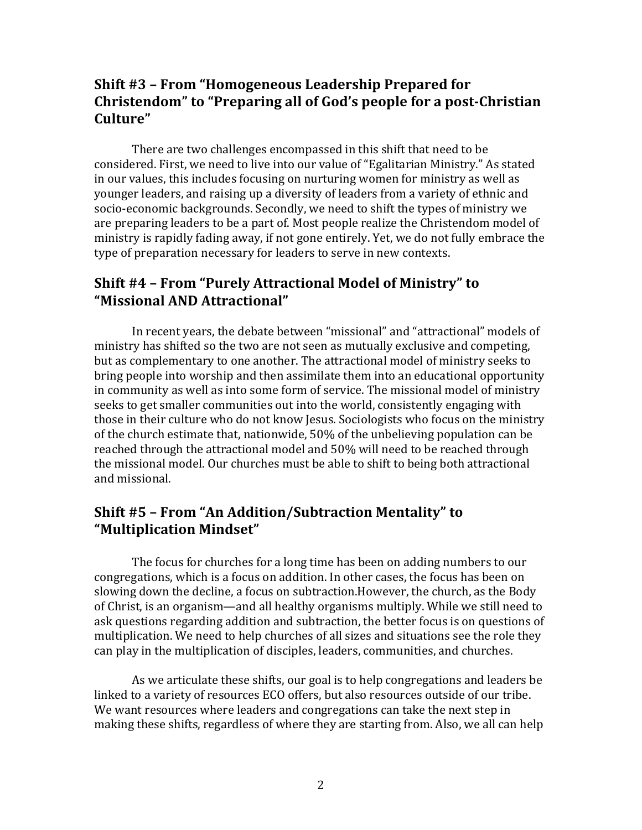### **Shift #3 - From "Homogeneous Leadership Prepared for Christendom**" to "Preparing all of God's people for a post-Christian **Culture"**

There are two challenges encompassed in this shift that need to be considered. First, we need to live into our value of "Egalitarian Ministry." As stated in our values, this includes focusing on nurturing women for ministry as well as younger leaders, and raising up a diversity of leaders from a variety of ethnic and socio-economic backgrounds. Secondly, we need to shift the types of ministry we are preparing leaders to be a part of. Most people realize the Christendom model of ministry is rapidly fading away, if not gone entirely. Yet, we do not fully embrace the type of preparation necessary for leaders to serve in new contexts.

#### **Shift #4 - From "Purely Attractional Model of Ministry" to "Missional AND Attractional"**

In recent years, the debate between "missional" and "attractional" models of ministry has shifted so the two are not seen as mutually exclusive and competing, but as complementary to one another. The attractional model of ministry seeks to bring people into worship and then assimilate them into an educational opportunity in community as well as into some form of service. The missional model of ministry seeks to get smaller communities out into the world, consistently engaging with those in their culture who do not know Jesus. Sociologists who focus on the ministry of the church estimate that, nationwide, 50% of the unbelieving population can be reached through the attractional model and 50% will need to be reached through the missional model. Our churches must be able to shift to being both attractional and missional.

### **Shift #5 - From "An Addition/Subtraction Mentality" to "Multiplication Mindset"**

The focus for churches for a long time has been on adding numbers to our congregations, which is a focus on addition. In other cases, the focus has been on slowing down the decline, a focus on subtraction.However, the church, as the Body of Christ, is an organism—and all healthy organisms multiply. While we still need to ask questions regarding addition and subtraction, the better focus is on questions of multiplication. We need to help churches of all sizes and situations see the role they can play in the multiplication of disciples, leaders, communities, and churches.

As we articulate these shifts, our goal is to help congregations and leaders be linked to a variety of resources ECO offers, but also resources outside of our tribe. We want resources where leaders and congregations can take the next step in making these shifts, regardless of where they are starting from. Also, we all can help